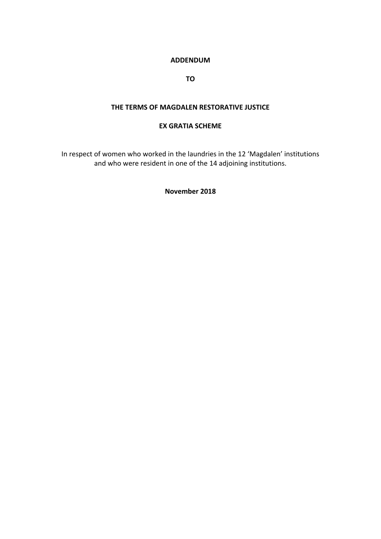### **ADDENDUM**

**TO** 

#### **THE TERMS OF MAGDALEN RESTORATIVE JUSTICE**

#### **EX GRATIA SCHEME**

In respect of women who worked in the laundries in the 12 'Magdalen' institutions and who were resident in one of the 14 adjoining institutions.

#### **November 2018**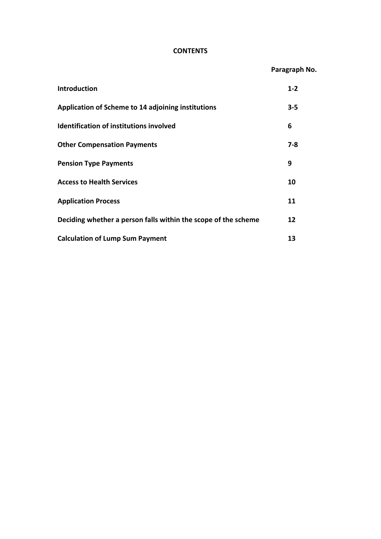# **CONTENTS**

|                                                                | Paragraph No. |
|----------------------------------------------------------------|---------------|
| Introduction                                                   | $1 - 2$       |
| Application of Scheme to 14 adjoining institutions             | $3 - 5$       |
| <b>Identification of institutions involved</b>                 | 6             |
| <b>Other Compensation Payments</b>                             | $7 - 8$       |
| <b>Pension Type Payments</b>                                   | 9             |
| <b>Access to Health Services</b>                               | 10            |
| <b>Application Process</b>                                     | 11            |
| Deciding whether a person falls within the scope of the scheme | 12            |
| <b>Calculation of Lump Sum Payment</b>                         | 13            |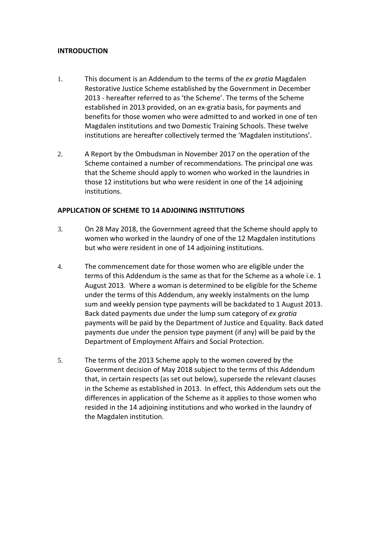#### **INTRODUCTION**

- 1. This document is an Addendum to the terms of the *ex gratia* Magdalen Restorative Justice Scheme established by the Government in December 2013 ‐ hereafter referred to as 'the Scheme'. The terms of the Scheme established in 2013 provided, on an ex‐gratia basis, for payments and benefits for those women who were admitted to and worked in one of ten Magdalen institutions and two Domestic Training Schools. These twelve institutions are hereafter collectively termed the 'Magdalen institutions'.
- 2. A Report by the Ombudsman in November 2017 on the operation of the Scheme contained a number of recommendations. The principal one was that the Scheme should apply to women who worked in the laundries in those 12 institutions but who were resident in one of the 14 adjoining institutions.

# **APPLICATION OF SCHEME TO 14 ADJOINING INSTITUTIONS**

- 3. On 28 May 2018, the Government agreed that the Scheme should apply to women who worked in the laundry of one of the 12 Magdalen institutions but who were resident in one of 14 adjoining institutions.
- 4. The commencement date for those women who are eligible under the terms of this Addendum is the same as that for the Scheme as a whole i.e. 1 August 2013. Where a woman is determined to be eligible for the Scheme under the terms of this Addendum, any weekly instalments on the lump sum and weekly pension type payments will be backdated to 1 August 2013. Back dated payments due under the lump sum category of *ex gratia* payments will be paid by the Department of Justice and Equality. Back dated payments due under the pension type payment (if any) will be paid by the Department of Employment Affairs and Social Protection.
- 5. The terms of the 2013 Scheme apply to the women covered by the Government decision of May 2018 subject to the terms of this Addendum that, in certain respects (as set out below), supersede the relevant clauses in the Scheme as established in 2013. In effect, this Addendum sets out the differences in application of the Scheme as it applies to those women who resided in the 14 adjoining institutions and who worked in the laundry of the Magdalen institution.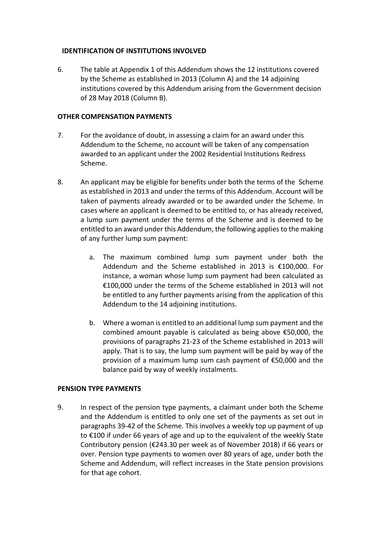# **IDENTIFICATION OF INSTITUTIONS INVOLVED**

6. The table at Appendix 1 of this Addendum shows the 12 institutions covered by the Scheme as established in 2013 (Column A) and the 14 adjoining institutions covered by this Addendum arising from the Government decision of 28 May 2018 (Column B).

### **OTHER COMPENSATION PAYMENTS**

- 7. For the avoidance of doubt, in assessing a claim for an award under this Addendum to the Scheme, no account will be taken of any compensation awarded to an applicant under the 2002 Residential Institutions Redress Scheme.
- 8. An applicant may be eligible for benefits under both the terms of the Scheme as established in 2013 and under the terms of this Addendum. Account will be taken of payments already awarded or to be awarded under the Scheme. In cases where an applicant is deemed to be entitled to, or has already received, a lump sum payment under the terms of the Scheme and is deemed to be entitled to an award under this Addendum, the following appliesto the making of any further lump sum payment:
	- a. The maximum combined lump sum payment under both the Addendum and the Scheme established in 2013 is €100,000. For instance, a woman whose lump sum payment had been calculated as €100,000 under the terms of the Scheme established in 2013 will not be entitled to any further payments arising from the application of this Addendum to the 14 adjoining institutions.
	- b. Where a woman is entitled to an additional lump sum payment and the combined amount payable is calculated as being above €50,000, the provisions of paragraphs 21‐23 of the Scheme established in 2013 will apply. That is to say, the lump sum payment will be paid by way of the provision of a maximum lump sum cash payment of €50,000 and the balance paid by way of weekly instalments.

#### **PENSION TYPE PAYMENTS**

9. In respect of the pension type payments, a claimant under both the Scheme and the Addendum is entitled to only one set of the payments as set out in paragraphs 39‐42 of the Scheme. This involves a weekly top up payment of up to €100 if under 66 years of age and up to the equivalent of the weekly State Contributory pension (€243.30 per week as of November 2018) if 66 years or over. Pension type payments to women over 80 years of age, under both the Scheme and Addendum, will reflect increases in the State pension provisions for that age cohort.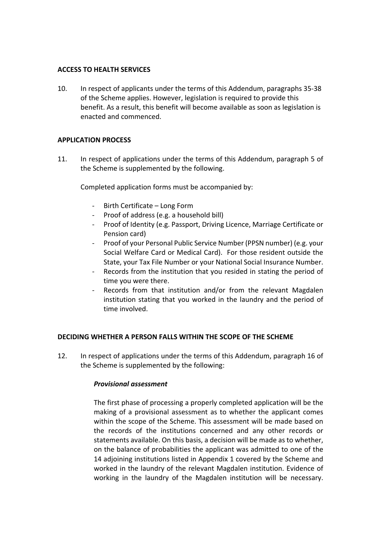#### **ACCESS TO HEALTH SERVICES**

10. In respect of applicants under the terms of this Addendum, paragraphs 35‐38 of the Scheme applies. However, legislation is required to provide this benefit. As a result, this benefit will become available as soon as legislation is enacted and commenced.

# **APPLICATION PROCESS**

11. In respect of applications under the terms of this Addendum, paragraph 5 of the Scheme is supplemented by the following.

Completed application forms must be accompanied by:

- ‐ Birth Certificate Long Form
- ‐ Proof of address (e.g. a household bill)
- ‐ Proof of Identity (e.g. Passport, Driving Licence, Marriage Certificate or Pension card)
- ‐ Proof of your Personal Public Service Number (PPSN number) (e.g. your Social Welfare Card or Medical Card). For those resident outside the State, your Tax File Number or your National Social Insurance Number.
- ‐ Records from the institution that you resided in stating the period of time you were there.
- Records from that institution and/or from the relevant Magdalen institution stating that you worked in the laundry and the period of time involved.

#### **DECIDING WHETHER A PERSON FALLS WITHIN THE SCOPE OF THE SCHEME**

12. In respect of applications under the terms of this Addendum, paragraph 16 of the Scheme is supplemented by the following:

#### *Provisional assessment*

The first phase of processing a properly completed application will be the making of a provisional assessment as to whether the applicant comes within the scope of the Scheme. This assessment will be made based on the records of the institutions concerned and any other records or statements available. On this basis, a decision will be made as to whether, on the balance of probabilities the applicant was admitted to one of the 14 adjoining institutions listed in Appendix 1 covered by the Scheme and worked in the laundry of the relevant Magdalen institution. Evidence of working in the laundry of the Magdalen institution will be necessary.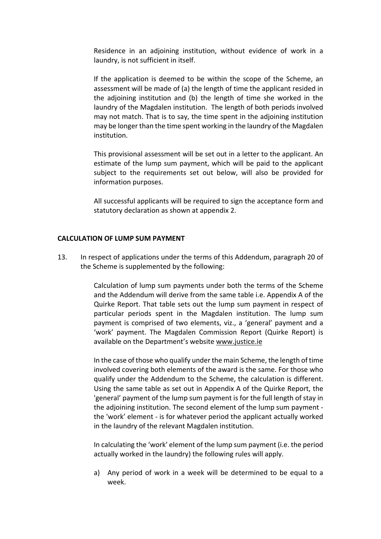Residence in an adjoining institution, without evidence of work in a laundry, is not sufficient in itself.

If the application is deemed to be within the scope of the Scheme, an assessment will be made of (a) the length of time the applicant resided in the adjoining institution and (b) the length of time she worked in the laundry of the Magdalen institution. The length of both periods involved may not match. That is to say, the time spent in the adjoining institution may be longer than the time spent working in the laundry of the Magdalen institution.

This provisional assessment will be set out in a letter to the applicant. An estimate of the lump sum payment, which will be paid to the applicant subject to the requirements set out below, will also be provided for information purposes.

All successful applicants will be required to sign the acceptance form and statutory declaration as shown at appendix 2.

#### **CALCULATION OF LUMP SUM PAYMENT**

13. In respect of applications under the terms of this Addendum, paragraph 20 of the Scheme is supplemented by the following:

> Calculation of lump sum payments under both the terms of the Scheme and the Addendum will derive from the same table i.e. Appendix A of the Quirke Report. That table sets out the lump sum payment in respect of particular periods spent in the Magdalen institution. The lump sum payment is comprised of two elements, viz., a 'general' payment and a 'work' payment. The Magdalen Commission Report (Quirke Report) is available on the Department's website www.justice.ie

> In the case of those who qualify under the main Scheme, the length of time involved covering both elements of the award is the same. For those who qualify under the Addendum to the Scheme, the calculation is different. Using the same table as set out in Appendix A of the Quirke Report, the 'general' payment of the lump sum payment is for the full length of stay in the adjoining institution. The second element of the lump sum payment ‐ the 'work' element ‐ is for whatever period the applicant actually worked in the laundry of the relevant Magdalen institution.

> In calculating the 'work' element of the lump sum payment (i.e. the period actually worked in the laundry) the following rules will apply.

> a) Any period of work in a week will be determined to be equal to a week.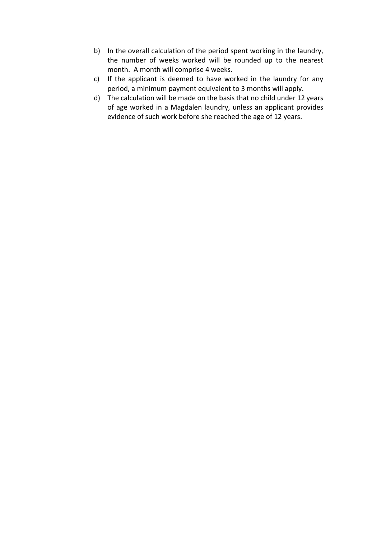- b) In the overall calculation of the period spent working in the laundry, the number of weeks worked will be rounded up to the nearest month. A month will comprise 4 weeks.
- c) If the applicant is deemed to have worked in the laundry for any period, a minimum payment equivalent to 3 months will apply.
- d) The calculation will be made on the basis that no child under 12 years of age worked in a Magdalen laundry, unless an applicant provides evidence of such work before she reached the age of 12 years.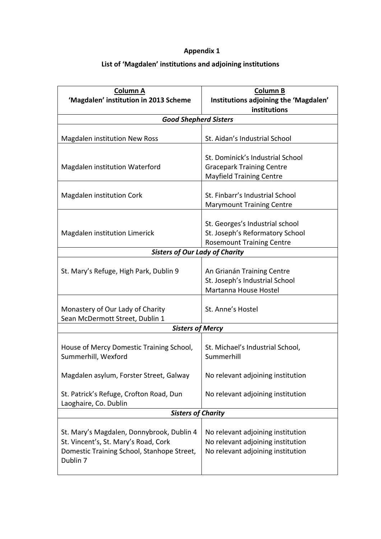# **Appendix 1**

# **List of 'Magdalen' institutions and adjoining institutions**

| Column A                                               | <b>Column B</b>                                       |  |
|--------------------------------------------------------|-------------------------------------------------------|--|
| 'Magdalen' institution in 2013 Scheme                  | Institutions adjoining the 'Magdalen'<br>institutions |  |
| <b>Good Shepherd Sisters</b>                           |                                                       |  |
|                                                        |                                                       |  |
| <b>Magdalen institution New Ross</b>                   | St. Aidan's Industrial School                         |  |
|                                                        |                                                       |  |
|                                                        | St. Dominick's Industrial School                      |  |
| Magdalen institution Waterford                         | <b>Gracepark Training Centre</b>                      |  |
|                                                        | <b>Mayfield Training Centre</b>                       |  |
| Magdalen institution Cork                              | St. Finbarr's Industrial School                       |  |
|                                                        | <b>Marymount Training Centre</b>                      |  |
|                                                        |                                                       |  |
|                                                        | St. Georges's Industrial school                       |  |
| Magdalen institution Limerick                          | St. Joseph's Reformatory School                       |  |
|                                                        | <b>Rosemount Training Centre</b>                      |  |
| <b>Sisters of Our Lady of Charity</b>                  |                                                       |  |
|                                                        |                                                       |  |
| St. Mary's Refuge, High Park, Dublin 9                 | An Grianán Training Centre                            |  |
|                                                        | St. Joseph's Industrial School                        |  |
|                                                        | Martanna House Hostel                                 |  |
| Monastery of Our Lady of Charity                       | St. Anne's Hostel                                     |  |
| Sean McDermott Street, Dublin 1                        |                                                       |  |
| <b>Sisters of Mercy</b>                                |                                                       |  |
|                                                        |                                                       |  |
| House of Mercy Domestic Training School,               | St. Michael's Industrial School,                      |  |
| Summerhill, Wexford                                    | Summerhill                                            |  |
|                                                        |                                                       |  |
| Magdalen asylum, Forster Street, Galway                | No relevant adjoining institution                     |  |
| St. Patrick's Refuge, Crofton Road, Dun                | No relevant adjoining institution                     |  |
| Laoghaire, Co. Dublin                                  |                                                       |  |
| <b>Sisters of Charity</b>                              |                                                       |  |
|                                                        |                                                       |  |
| St. Mary's Magdalen, Donnybrook, Dublin 4              | No relevant adjoining institution                     |  |
| St. Vincent's, St. Mary's Road, Cork                   | No relevant adjoining institution                     |  |
| Domestic Training School, Stanhope Street,<br>Dublin 7 | No relevant adjoining institution                     |  |
|                                                        |                                                       |  |
|                                                        |                                                       |  |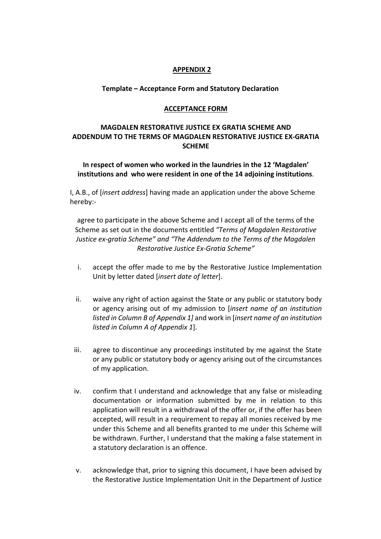#### **APPENDIX 2**

### **Template – Acceptance Form and Statutory Declaration**

#### **ACCEPTANCE FORM**

# **MAGDALEN RESTORATIVE JUSTICE EX GRATIA SCHEME AND ADDENDUM TO THE TERMS OF MAGDALEN RESTORATIVE JUSTICE EX‐GRATIA SCHEME**

# **In respect of women who worked in the laundries in the 12 'Magdalen' institutions and who were resident in one of the 14 adjoining institutions**.

I, A.B., of [*insert address*] having made an application under the above Scheme hereby:‐

agree to participate in the above Scheme and I accept all of the terms of the Scheme as set out in the documents entitled *"Terms of Magdalen Restorative Justice ex‐gratia Scheme" and "The Addendum to the Terms of the Magdalen Restorative Justice Ex‐Gratia Scheme"*

- i. accept the offer made to me by the Restorative Justice Implementation Unit by letter dated [*insert date of letter*].
- ii. waive any right of action against the State or any public or statutory body or agency arising out of my admission to [*insert name of an institution listed in Column B of Appendix 1]* and work in [*insert name of an institution listed in Column A of Appendix 1*].
- iii. agree to discontinue any proceedings instituted by me against the State or any public or statutory body or agency arising out of the circumstances of my application.
- iv. confirm that I understand and acknowledge that any false or misleading documentation or information submitted by me in relation to this application will result in a withdrawal of the offer or, if the offer has been accepted, will result in a requirement to repay all monies received by me under this Scheme and all benefits granted to me under this Scheme will be withdrawn. Further, I understand that the making a false statement in a statutory declaration is an offence.
- v. acknowledge that, prior to signing this document, I have been advised by the Restorative Justice Implementation Unit in the Department of Justice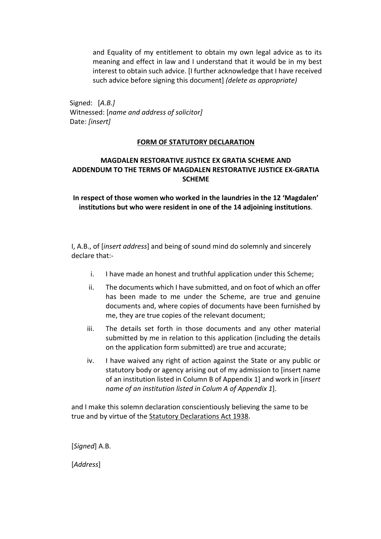and Equality of my entitlement to obtain my own legal advice as to its meaning and effect in law and I understand that it would be in my best interest to obtain such advice. [I further acknowledge that I have received such advice before signing this document] *(delete as appropriate)*

Signed: [*A.B.]* Witnessed: [*name and address of solicitor]* Date: *[insert]*

# **FORM OF STATUTORY DECLARATION**

# **MAGDALEN RESTORATIVE JUSTICE EX GRATIA SCHEME AND ADDENDUM TO THE TERMS OF MAGDALEN RESTORATIVE JUSTICE EX‐GRATIA SCHEME**

**In respect of those women who worked in the laundries in the 12 'Magdalen' institutions but who were resident in one of the 14 adjoining institutions**.

I, A.B., of [*insert address*] and being of sound mind do solemnly and sincerely declare that:‐

- i. I have made an honest and truthful application under this Scheme;
- ii. The documents which I have submitted, and on foot of which an offer has been made to me under the Scheme, are true and genuine documents and, where copies of documents have been furnished by me, they are true copies of the relevant document;
- iii. The details set forth in those documents and any other material submitted by me in relation to this application (including the details on the application form submitted) are true and accurate;
- iv. I have waived any right of action against the State or any public or statutory body or agency arising out of my admission to [insert name of an institution listed in Column B of Appendix 1] and work in [*insert name of an institution listed in Colum A of Appendix 1*].

and I make this solemn declaration conscientiously believing the same to be true and by virtue of the Statutory Declarations Act 1938.

[*Signed*] A.B.

[*Address*]